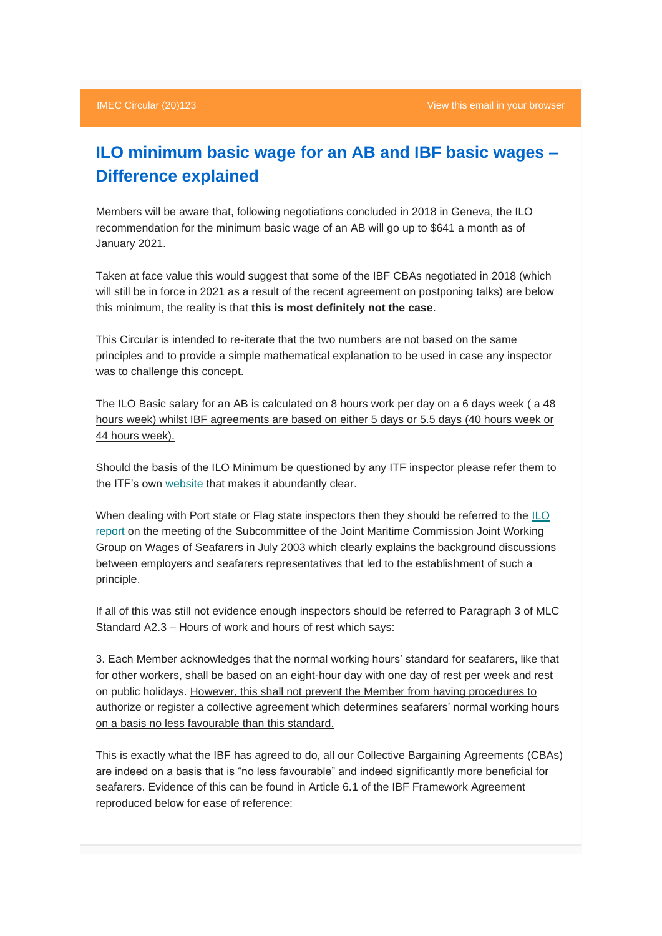## **ILO minimum basic wage for an AB and IBF basic wages – Difference explained**

Members will be aware that, following negotiations concluded in 2018 in Geneva, the ILO recommendation for the minimum basic wage of an AB will go up to \$641 a month as of January 2021.

Taken at face value this would suggest that some of the IBF CBAs negotiated in 2018 (which will still be in force in 2021 as a result of the recent agreement on postponing talks) are below this minimum, the reality is that **this is most definitely not the case**.

This Circular is intended to re-iterate that the two numbers are not based on the same principles and to provide a simple mathematical explanation to be used in case any inspector was to challenge this concept.

The ILO Basic salary for an AB is calculated on 8 hours work per day on a 6 days week ( a 48 hours week) whilst IBF agreements are based on either 5 days or 5.5 days (40 hours week or 44 hours week).

Should the basis of the ILO Minimum be questioned by any ITF inspector please refer them to the ITF's own [website](https://imec.us4.list-manage.com/track/click?u=37c49e0b8cb3285c6db56a03e&id=b623c372e0&e=442e1aff6a) that makes it abundantly clear.

When dealing with Port state or Flag state inspectors then they should be referred to the [ILO](https://imec.us4.list-manage.com/track/click?u=37c49e0b8cb3285c6db56a03e&id=f5eb7da66d&e=442e1aff6a)  [report](https://imec.us4.list-manage.com/track/click?u=37c49e0b8cb3285c6db56a03e&id=f5eb7da66d&e=442e1aff6a) on the meeting of the Subcommittee of the Joint Maritime Commission Joint Working Group on Wages of Seafarers in July 2003 which clearly explains the background discussions between employers and seafarers representatives that led to the establishment of such a principle.

If all of this was still not evidence enough inspectors should be referred to Paragraph 3 of MLC Standard A2.3 – Hours of work and hours of rest which says:

3. Each Member acknowledges that the normal working hours' standard for seafarers, like that for other workers, shall be based on an eight-hour day with one day of rest per week and rest on public holidays. However, this shall not prevent the Member from having procedures to authorize or register a collective agreement which determines seafarers' normal working hours on a basis no less favourable than this standard.

This is exactly what the IBF has agreed to do, all our Collective Bargaining Agreements (CBAs) are indeed on a basis that is "no less favourable" and indeed significantly more beneficial for seafarers. Evidence of this can be found in Article 6.1 of the IBF Framework Agreement reproduced below for ease of reference: